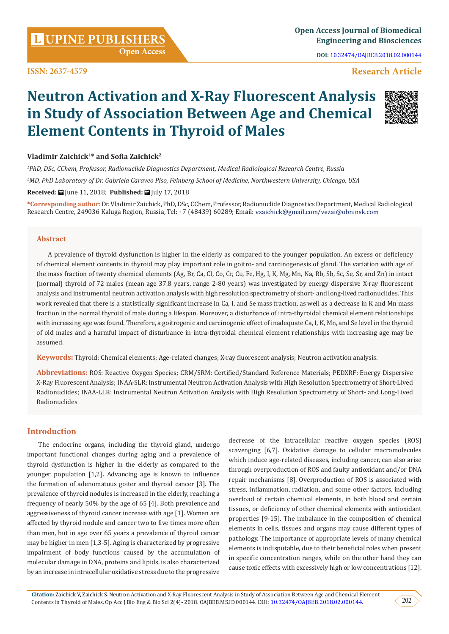**Citation:** Zaichick V, Zaichick S. Neutron Activation and X-Ray Fluorescent Analysis in Study of Association Between Age and Chemical Element Contents in Thyroid of Males. Op Acc J Bio Eng & Bio Sci 2(4)- 2018. OAJBEB.MS.ID.000144. DOI: [10.32474/OAJBEB.2018.02.000144](http://dx.doi.org/10.32474/OAJBEB.2018.02.000144).

# **Open Access**

**ISSN: 2637-4579**

**UPINE PUBLISHERS <sup>L</sup> Open Access Journal of Biomedical Engineering and Biosciences**

**DOI:** [10.32474/OAJBEB.2018.02.000144](http://dx.doi.org/10.32474/OAJBEB.2018.02.000144)

# **Research Article**

# **Neutron Activation and X-Ray Fluorescent Analysis in Study of Association Between Age and Chemical Element Contents in Thyroid of Males**

### **Vladimir Zaichick1\* and Sofia Zaichick<sup>2</sup>**

*1 PhD, DSc, CChem, Professor, Radionuclide Diagnostics Department, Medical Radiological Research Centre, Russia 2 MD, PhD Laboratory of Dr. Gabriela Caraveo Piso, Feinberg School of Medicine, Northwestern University, Chicago, USA* **Received:** June 11, 2018; **Published:** July 17, 2018

**\*Corresponding author:**Dr. Vladimir Zaichick, PhD, DSc, CChem, Professor, Radionuclide Diagnostics Department, Medical Radiological Research Centre, 249036 Kaluga Region, Russia, Tel: +7 (48439) 60289; Email: vzaichick@gmail.com/vezai@obninsk.com

#### **Abstract**

A prevalence of thyroid dysfunction is higher in the elderly as compared to the younger population. An excess or deficiency of chemical element contents in thyroid may play important role in goitro- and carcinogenesis of gland. The variation with age of the mass fraction of twenty chemical elements (Ag, Br, Ca, Cl, Co, Cr, Cu, Fe, Hg, I, K, Mg, Mn, Na, Rb, Sb, Sc, Se, Sr, and Zn) in intact (normal) thyroid of 72 males (mean age 37.8 years, range 2-80 years) was investigated by energy dispersive X-ray fluorescent analysis and instrumental neutron activation analysis with high resolution spectrometry of short- and long-lived radionuclides. This work revealed that there is a statistically significant increase in Ca, I, and Se mass fraction, as well as a decrease in K and Mn mass fraction in the normal thyroid of male during a lifespan. Moreover, a disturbance of intra-thyroidal chemical element relationships with increasing age was found. Therefore, a goitrogenic and carcinogenic effect of inadequate Ca, I, K, Mn, and Se level in the thyroid of old males and a harmful impact of disturbance in intra-thyroidal chemical element relationships with increasing age may be assumed.

**Keywords:** Thyroid; Chemical elements; Age-related changes; X-ray fluorescent analysis; Neutron activation analysis.

**Abbreviations:** ROS: Reactive Oxygen Species; CRM/SRM: Certified/Standard Reference Materials; PEDXRF: Energy Dispersive X-Ray Fluorescent Analysis; INAA-SLR: Instrumental Neutron Activation Analysis with High Resolution Spectrometry of Short-Lived Radionuclides; INAA-LLR: Instrumental Neutron Activation Analysis with High Resolution Spectrometry of Short- and Long-Lived Radionuclides

# **Introduction**

The endocrine organs, including the thyroid gland, undergo important functional changes during aging and a prevalence of thyroid dysfunction is higher in the elderly as compared to the younger population [1,2]**.** Advancing age is known to influence the formation of adenomatous goiter and thyroid cancer [3]. The prevalence of thyroid nodules is increased in the elderly, reaching a frequency of nearly 50% by the age of 65 [4]. Both prevalence and aggressiveness of thyroid cancer increase with age [1]. Women are affected by thyroid nodule and cancer two to five times more often than men, but in age over 65 years a prevalence of thyroid cancer may be higher in men [1,3-5]. Aging is characterized by progressive impairment of body functions caused by the accumulation of molecular damage in DNA, proteins and lipids, is also characterized by an increase in intracellular oxidative stress due to the progressive

decrease of the intracellular reactive oxygen species (ROS) scavenging [6,7]. Oxidative damage to cellular macromolecules which induce age-related diseases, including cancer, can also arise through overproduction of ROS and faulty antioxidant and/or DNA repair mechanisms [8]. Overproduction of ROS is associated with stress, inflammation, radiation, and some other factors, including overload of certain chemical elements, in both blood and certain tissues, or deficiency of other chemical elements with antioxidant properties [9-15]. The imbalance in the composition of chemical elements in cells, tissues and organs may cause different types of pathology. The importance of appropriate levels of many chemical elements is indisputable, due to their beneficial roles when present in specific concentration ranges, while on the other hand they can cause toxic effects with excessively high or low concentrations [12].



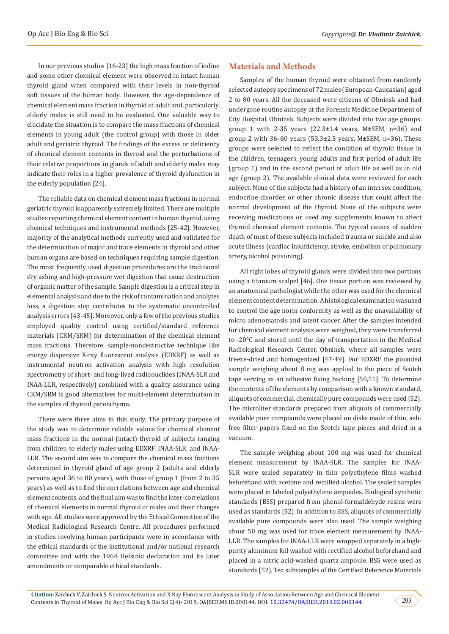In our previous studies [16-23] the high mass fraction of iodine and some other chemical element were observed in intact human thyroid gland when compared with their levels in non-thyroid soft tissues of the human body. However, the age-dependence of chemical element mass fraction in thyroid of adult and, particularly, elderly males is still need to be evaluated. One valuable way to elucidate the situation is to compare the mass fractions of chemical elements in young adult (the control group) with those in older adult and geriatric thyroid. The findings of the excess or deficiency of chemical element contents in thyroid and the perturbations of their relative proportions in glands of adult and elderly males may indicate their roles in a higher prevalence of thyroid dysfunction in the elderly population [24].

The reliable data on chemical element mass fractions in normal geriatric thyroid is apparently extremely limited. There are multiple studies reporting chemical element content in human thyroid, using chemical techniques and instrumental methods [25-42]. However, majority of the analytical methods currently used and validated for the determination of major and trace elements in thyroid and other human organs are based on techniques requiring sample digestion. The most frequently used digestion procedures are the traditional dry ashing and high-pressure wet digestion that cause destruction of organic matter of the sample. Sample digestion is a critical step in elemental analysis and due to the risk of contamination and analytes loss, a digestion step contributes to the systematic uncontrolled analysis errors [43-45]. Moreover, only a few of the previous studies employed quality control using certified/standard reference materials (CRM/SRM) for determination of the chemical element mass fractions. Therefore, sample-nondestructive technique like energy dispersive X-ray fluorescent analysis (EDXRF) as well as instrumental neutron activation analysis with high resolution spectrometry of short- and long-lived radionuclides (INAA-SLR and INAA-LLR, respectively) combined with a quality assurance using CRM/SRM is good alternatives for multi-element determination in the samples of thyroid parenchyma.

There were three aims in this study. The primary purpose of the study was to determine reliable values for chemical element mass fractions in the normal (intact) thyroid of subjects ranging from children to elderly males using EDXRF, INAA-SLR, and INAA-LLR. The second aim was to compare the chemical mass fractions determined in thyroid gland of age group 2 (adults and elderly persons aged 36 to 80 years), with those of group 1 (from 2 to 35 years) as well as to find the correlations between age and chemical element contents, and the final aim was to find the inter-correlations of chemical elements in normal thyroid of males and their changes with age. All studies were approved by the Ethical Committee of the Medical Radiological Research Centre. All procedures performed in studies involving human participants were in accordance with the ethical standards of the institutional and/or national research committee and with the 1964 Helsinki declaration and its later amendments or comparable ethical standards.

#### **Materials and Methods**

Samples of the human thyroid were obtained from randomly selected autopsy specimens of 72 males (European-Caucasian) aged 2 to 80 years. All the deceased were citizens of Obninsk and had undergone routine autopsy at the Forensic Medicine Department of City Hospital, Obninsk. Subjects were divided into two age groups, group 1 with 2-35 years  $(22.3 \pm 1.4$  years, M $\pm$ SEM, n=36) and group 2 with  $36-80$  years ( $53.3\pm2.5$  years, M $\pm$ SEM, n=36). These groups were selected to reflect the condition of thyroid tissue in the children, teenagers, young adults and first period of adult life (group 1) and in the second period of adult life as well as in old age (group 2). The available clinical data were reviewed for each subject. None of the subjects had a history of an intersex condition, endocrine disorder, or other chronic disease that could affect the normal development of the thyroid. None of the subjects were receiving medications or used any supplements known to affect thyroid chemical element contents. The typical causes of sudden death of most of these subjects included trauma or suicide and also acute illness (cardiac insufficiency, stroke, embolism of pulmonary artery, alcohol poisoning).

All right lobes of thyroid glands were divided into two portions using a titanium scalpel [46]. One tissue portion was reviewed by an anatomical pathologist while the other was used for the chemical element content determination. A histological examination was used to control the age norm conformity as well as the unavailability of micro adenomatosis and latent cancer. After the samples intended for chemical element analysis were weighed, they were transferred to -20°C and stored until the day of transportation in the Medical Radiological Research Center, Obninsk, where all samples were freeze-dried and homogenized [47-49]. For EDXRF the pounded sample weighing about 8 mg was applied to the piece of Scotch tape serving as an adhesive fixing backing [50,51]. To determine the contents of the elements by comparison with a known standard, aliquots of commercial, chemically pure compounds were used [52]. The microliter standards prepared from aliquots of commercially available pure compounds were placed on disks made of thin, ashfree filter papers fixed on the Scotch tape pieces and dried in a vacuum.

The sample weighing about 100 mg was used for chemical element measurement by INAA-SLR. The samples for INAA-SLR were sealed separately in thin polyethylene films washed beforehand with acetone and rectified alcohol. The sealed samples were placed in labeled polyethylene ampoules. Biological synthetic standards (BSS) prepared from phenol-formaldehyde resins were used as standards [52]. In addition to BSS, aliquots of commercially available pure compounds were also used. The sample weighing about 50 mg was used for trace element measurement by INAA-LLR. The samples for INAA-LLR were wrapped separately in a highpurity aluminum foil washed with rectified alcohol beforehand and placed in a nitric acid-washed quartz ampoule. BSS were used as standards [52]. Ten subsamples of the Certified Reference Materials

203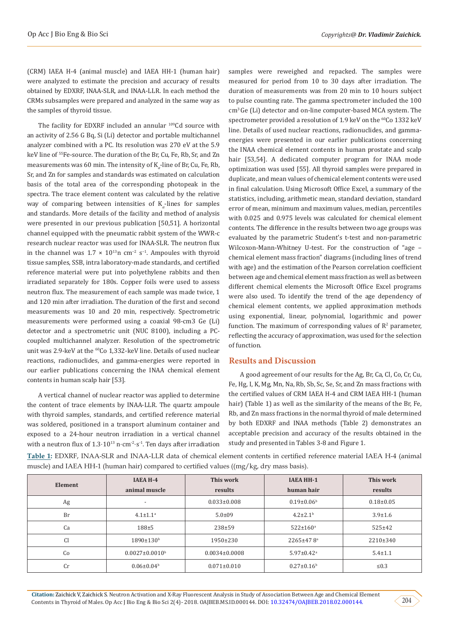(CRM) IAEA H-4 (animal muscle) and IAEA HH-1 (human hair) were analyzed to estimate the precision and accuracy of results obtained by EDXRF, INAA-SLR, and INAA-LLR. In each method the CRMs subsamples were prepared and analyzed in the same way as the samples of thyroid tissue.

The facility for EDXRF included an annular <sup>109</sup>Cd source with an activity of 2.56 G Bq, Si (Li) detector and portable multichannel analyzer combined with a PC. Its resolution was 270 eV at the 5.9 keV line of 55Fe-source. The duration of the Br, Cu, Fe, Rb, Sr, and Zn measurements was 60 min. The intensity of K<sub>α</sub>-line of Br, Cu, Fe, Rb, Sr, and Zn for samples and standards was estimated on calculation basis of the total area of the corresponding photopeak in the spectra. The trace element content was calculated by the relative way of comparing between intensities of K<sub>α</sub>-lines for samples and standards. More details of the facility and method of analysis were presented in our previous publication [50,51]. A horizontal channel equipped with the pneumatic rabbit system of the WWR-c research nuclear reactor was used for INAA-SLR. The neutron flux in the channel was  $1.7 \times 10^{13}$ n cm<sup>-2</sup> s<sup>-1</sup>. Ampoules with thyroid tissue samples, SSB, intra laboratory-made standards, and certified reference material were put into polyethylene rabbits and then irradiated separately for 180s. Copper foils were used to assess neutron flux. The measurement of each sample was made twice, 1 and 120 min after irradiation. The duration of the first and second measurements was 10 and 20 min, respectively. Spectrometric measurements were performed using a coaxial 98-cm3 Ge (Li) detector and a spectrometric unit (NUC 8100), including a PCcoupled multichannel analyzer. Resolution of the spectrometric unit was 2.9-keV at the <sup>60</sup>Co 1,332-keV line. Details of used nuclear reactions, radionuclides, and gamma-energies were reported in our earlier publications concerning the INAA chemical element contents in human scalp hair [53].

A vertical channel of nuclear reactor was applied to determine the content of trace elements by INAA-LLR. The quartz ampoule with thyroid samples, standards, and certified reference material was soldered, positioned in a transport aluminum container and exposed to a 24-hour neutron irradiation in a vertical channel with a neutron flux of 1.3⋅10<sup>13</sup> n⋅cm<sup>-2</sup>⋅s<sup>-1</sup>. Ten days after irradiation

samples were reweighed and repacked. The samples were measured for period from 10 to 30 days after irradiation. The duration of measurements was from 20 min to 10 hours subject to pulse counting rate. The gamma spectrometer included the 100 cm3 Ge (Li) detector and on-line computer-based MCA system. The spectrometer provided a resolution of 1.9 keV on the <sup>60</sup>Co 1332 keV line. Details of used nuclear reactions, radionuclides, and gammaenergies were presented in our earlier publications concerning the INAA chemical element contents in human prostate and scalp hair [53,54]. A dedicated computer program for INAA mode optimization was used [55]. All thyroid samples were prepared in duplicate, and mean values of chemical element contents were used in final calculation. Using Microsoft Office Excel, a summary of the statistics, including, arithmetic mean, standard deviation, standard error of mean, minimum and maximum values, median, percentiles with 0.025 and 0.975 levels was calculated for chemical element contents. The difference in the results between two age groups was evaluated by the parametric Student's t-test and non-parametric Wilcoxon-Mann-Whitney U-test. For the construction of "age – chemical element mass fraction" diagrams (including lines of trend with age) and the estimation of the Pearson correlation coefficient between age and chemical element mass fraction as well as between different chemical elements the Microsoft Office Excel programs were also used. To identify the trend of the age dependency of chemical element contents, we applied approximation methods using exponential, linear, polynomial, logarithmic and power function. The maximum of corresponding values of  $\mathbb{R}^2$  parameter, reflecting the accuracy of approximation, was used for the selection of function.

#### **Results and Discussion**

A good agreement of our results for the Ag, Br, Ca, Cl, Co, Cr, Cu, Fe, Hg, I, K, Mg, Mn, Na, Rb, Sb, Sc, Se, Sr, and Zn mass fractions with the certified values of CRM IAEA H-4 and CRM IAEA HH-1 (human hair) (Table 1) as well as the similarity of the means of the Br, Fe, Rb, and Zn mass fractions in the normal thyroid of male determined by both EDXRF and INAA methods (Table 2) demonstrates an acceptable precision and accuracy of the results obtained in the study and presented in Tables 3-8 and Figure 1.

**Table 1:** EDXRF, INAA-SLR and INAA-LLR data of chemical element contents in certified reference material IAEA H-4 (animal muscle) and IAEA HH-1 (human hair) compared to certified values ((mg/kg, dry mass basis).

| <b>Element</b> | IAEA H-4<br>animal muscle   | This work<br>results | <b>IAEA HH-1</b><br>human hair | This work<br>results |
|----------------|-----------------------------|----------------------|--------------------------------|----------------------|
|                |                             |                      |                                |                      |
| Ag             | $\overline{\phantom{a}}$    | $0.033 \pm 0.008$    | $0.19 \pm 0.06$ <sup>b</sup>   | $0.18 \pm 0.05$      |
| <b>Br</b>      | $4.1 \pm 1.1$ <sup>a</sup>  | $5.0 \pm 09$         | $4.2 \pm 2.1$ <sup>b</sup>     | $3.9 \pm 1.6$        |
| Ca             | $188 + 5$                   | $238 + 59$           | $522 \pm 160$ <sup>a</sup>     | $525 \pm 42$         |
| C <sub>1</sub> | $1890 \pm 130$ <sup>b</sup> | 1950±230             | 2265±478ª                      | $2210\pm340$         |
| Co             | $0.0027 \pm 0.0010^b$       | $0.0034\pm0.0008$    | $5.97 \pm 0.42$ <sup>a</sup>   | $5.4 \pm 1.1$        |
| Cr             | $0.06 \pm 0.04^b$           | $0.071 \pm 0.010$    | $0.27 \pm 0.16^b$              | $\leq 0.3$           |

**Citation:** Zaichick V, Zaichick S. Neutron Activation and X-Ray Fluorescent Analysis in Study of Association Between Age and Chemical Element Contents in Thyroid of Males. Op Acc J Bio Eng & Bio Sci 2(4)- 2018. OAJBEB.MS.ID.000144. DOI: [10.32474/OAJBEB.2018.02.000144](http://dx.doi.org/10.32474/OAJBEB.2018.02.000144).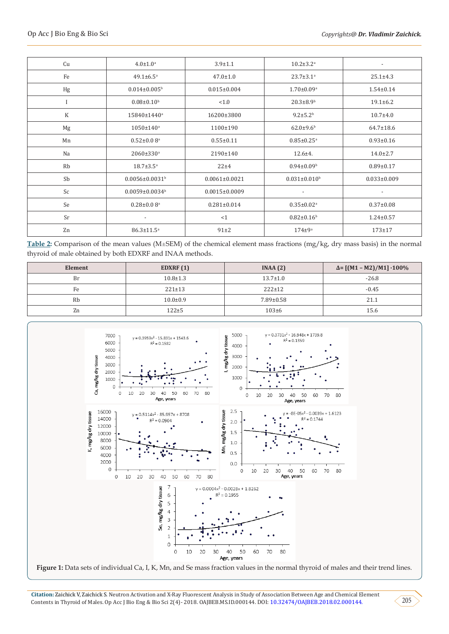| Cu          | $4.0 \pm 1.0^a$                  | $3.9 \pm 1.1$       | $10.2 \pm 3.2$ <sup>a</sup>    | $\overline{\phantom{a}}$ |
|-------------|----------------------------------|---------------------|--------------------------------|--------------------------|
| Fe          | $49.1 \pm 6.5^a$                 | $47.0 \pm 1.0$      | $23.7 \pm 3.1$ <sup>a</sup>    | $25.1 \pm 4.3$           |
| Hg          | $0.014 \pm 0.005$ <sup>b</sup>   | $0.015 \pm 0.004$   | $1.70 \pm 0.09^{\text{a}}$     | $1.54 \pm 0.14$          |
| I           | $0.08 \pm 0.10^b$                | < 1.0               | $20.3 \pm 8.9$ <sup>b</sup>    | $19.1 \pm 6.2$           |
| $\mathbf K$ | 15840±1440 <sup>a</sup>          | 16200±3800          | $9.2 \pm 5.2^{\rm b}$          | $10.7 + 4.0$             |
| Mg          | $1050 \pm 140^{\rm a}$           | 1100±190            | $62.0 \pm 9.6$ <sup>b</sup>    | $64.7 \pm 18.6$          |
| Mn          | $0.52 \pm 0.08$ <sup>a</sup>     | $0.55 \pm 0.11$     | $0.85 \pm 0.25$ <sup>a</sup>   | $0.93 \pm 0.16$          |
| Na          | $2060 \pm 330$ <sup>a</sup>      | 2190±140            | $12.6 + 4.$                    | $14.0 \pm 2.7$           |
| Rb          | $18.7 \pm 3.5^{\circ}$           | $22 + 4$            | $0.94 \pm 0.09^{\rm b}$        | $0.89 \pm 0.17$          |
| Sb          | $0.0056 \pm 0.0031$ <sup>b</sup> | $0.0061 \pm 0.0021$ | $0.031 \pm 0.010$ <sup>b</sup> | $0.033 \pm 0.009$        |
| Sc          | $0.0059 \pm 0.0034$ <sup>b</sup> | $0.0015 \pm 0.0009$ | $\overline{\phantom{a}}$       | $\overline{\phantom{a}}$ |
| Se          | $0.28 \pm 0.08$ <sup>a</sup>     | $0.281 \pm 0.014$   | $0.35 \pm 0.02$ <sup>a</sup>   | $0.37 \pm 0.08$          |
| Sr          | $\overline{\phantom{a}}$         | <1                  | $0.82 \pm 0.16$ <sup>b</sup>   | $1.24 \pm 0.57$          |
| Zn          | $86.3 \pm 11.5^a$                | $91\pm2$            | $174 \pm 9^a$                  | $173 + 17$               |

Table 2: Comparison of the mean values (M±SEM) of the chemical element mass fractions (mg/kg, dry mass basis) in the normal thyroid of male obtained by both EDXRF and INAA methods.

| Element | EDXRF $(1)$    | INAA(2)         | $\Delta = [(M1 - M2)/M1] \cdot 100\%$ |  |  |
|---------|----------------|-----------------|---------------------------------------|--|--|
| Br      | $10.8 \pm 1.3$ | $13.7 \pm 1.0$  | $-26.8$                               |  |  |
| Fe      | $221 \pm 13$   | $222 \pm 12$    | $-0.45$                               |  |  |
| Rb      | $10.0 \pm 0.9$ | $7.89 \pm 0.58$ | 21.1                                  |  |  |
| Zn      | $122 + 5$      | $103 \pm 6$     | 15.6                                  |  |  |



**Figure 1:** Data sets of individual Ca, I, K, Mn, and Se mass fraction values in the normal thyroid of males and their trend lines.

**Citation:** Zaichick V, Zaichick S. Neutron Activation and X-Ray Fluorescent Analysis in Study of Association Between Age and Chemical Element Contents in Thyroid of Males. Op Acc J Bio Eng & Bio Sci 2(4)- 2018. OAJBEB.MS.ID.000144. DOI: [10.32474/OAJBEB.2018.02.000144.](http://dx.doi.org/10.32474/OAJBEB.2018.02.000144)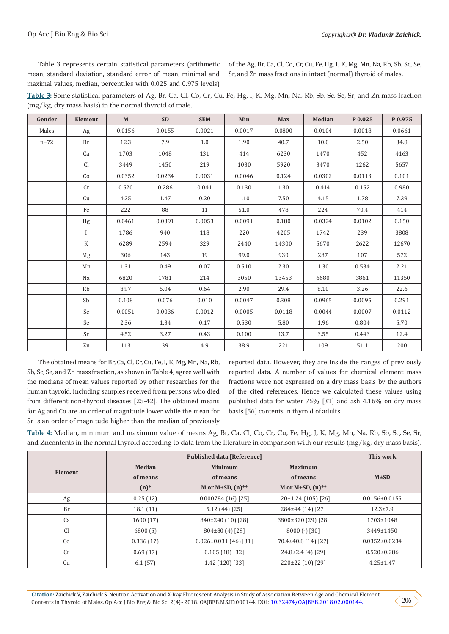The obtained means for Br, Ca, Cl, Cr, Cu, Fe, I, K, Mg, Mn, Na, Rb, Sb, Sc, Se, and Zn mass fraction, as shown in Table 4, agree well with the medians of mean values reported by other researches for the human thyroid, including samples received from persons who died from different non-thyroid diseases [25-42]. The obtained means for Ag and Co are an order of magnitude lower while the mean for

Sr is an order of magnitude higher than the median of previously

**Median of means (n)\***

**Element**

reported data. However, they are inside the ranges of previously reported data. A number of values for chemical element mass fractions were not expressed on a dry mass basis by the authors of the cited references. Hence we calculated these values using published data for water 75% [31] and ash 4.16% on dry mass basis [56] contents in thyroid of adults.

**Published data [Reference] This work**

**Maximum of means M or M±SD, (n)\*\***

**Table 4:** Median, minimum and maximum value of means Ag, Br, Ca, Cl, Co, Cr, Cu, Fe, Hg, J, K, Mg, Mn, Na, Rb, Sb, Sc, Se, Sr, and Zncontents in the normal thyroid according to data from the literature in comparison with our results (mg/kg, dry mass basis).

> **Minimum of means M or M±SD, (n)\*\***

Ag 0.25 (12) 0.000784 (16) [25] 1.20±1.24 (105) [26] 0.0156±0.0155

| Br             | 18.1 (11)                                                                                                                                     | 5.12 (44) [25]              | 284±44 (14) [27]      | $12.3 \pm 7.9$      |
|----------------|-----------------------------------------------------------------------------------------------------------------------------------------------|-----------------------------|-----------------------|---------------------|
| Ca             | 1600 (17)                                                                                                                                     | 840±240 (10) [28]           | 3800±320 (29) [28]    | 1703±1048           |
| C <sub>1</sub> | 6800(5)                                                                                                                                       | $804\pm80(4)[29]$           | $8000$ (-) [30]       | 3449±1450           |
| Co             | 0.336(17)                                                                                                                                     | $0.026 \pm 0.031$ (46) [31] | 70.4±40.8 (14) [27]   | $0.0352 \pm 0.0234$ |
| Cr             | 0.69(17)                                                                                                                                      | 0.105(18)[32]               | $24.8\pm2.4$ (4) [29] | $0.520 \pm 0.286$   |
| Cu             | 6.1(57)                                                                                                                                       | 1.42 (120) [33]             | 220±22 (10) [29]      | $4.25 \pm 1.47$     |
|                |                                                                                                                                               |                             |                       |                     |
|                |                                                                                                                                               |                             |                       |                     |
|                | Citation: Zaighigh V. Zaighigh C. Noutron Activation and V. Day Fluorescent Anglycia in Ctudy of Association Petusen Age and Chemical Floment |                             |                       |                     |

mean, standard deviation, standard error of mean, minimal and maximal values, median, percentiles with 0.025 and 0.975 levels) Sr, and Zn mass fractions in intact (normal) thyroid of males.

Table 3 represents certain statistical parameters (arithmetic

**Table 3:** Some statistical parameters of Ag, Br, Ca, Cl, Co, Cr, Cu, Fe, Hg, I, K, Mg, Mn, Na, Rb, Sb, Sc, Se, Sr, and Zn mass fraction (mg/kg, dry mass basis) in the normal thyroid of male.

| Gender | <b>Element</b> | $\mathbf M$ | <b>SD</b> | <b>SEM</b> | Min    | <b>Max</b> | <b>Median</b> | P 0.025 | P0.975 |
|--------|----------------|-------------|-----------|------------|--------|------------|---------------|---------|--------|
| Males  | Ag             | 0.0156      | 0.0155    | 0.0021     | 0.0017 | 0.0800     | 0.0104        | 0.0018  | 0.0661 |
| $n=72$ | Br             | 12.3        | 7.9       | 1.0        | 1.90   | 40.7       | 10.0          | 2.50    | 34.8   |
|        | Ca             | 1703        | 1048      | 131        | 414    | 6230       | 1470          | 452     | 4163   |
|        | <b>Cl</b>      | 3449        | 1450      | 219        | 1030   | 5920       | 3470          | 1262    | 5657   |
|        | Co             | 0.0352      | 0.0234    | 0.0031     | 0.0046 | 0.124      | 0.0302        | 0.0113  | 0.101  |
|        | Cr             | 0.520       | 0.286     | 0.041      | 0.130  | 1.30       | 0.414         | 0.152   | 0.980  |
|        | Cu             | 4.25        | 1.47      | 0.20       | 1.10   | 7.50       | 4.15          | 1.78    | 7.39   |
|        | Fe             | 222         | 88        | 11         | 51.0   | 478        | 224           | 70.4    | 414    |
|        | Hg             | 0.0461      | 0.0391    | 0.0053     | 0.0091 | 0.180      | 0.0324        | 0.0102  | 0.150  |
|        | $\mathbf{I}$   | 1786        | 940       | 118        | 220    | 4205       | 1742          | 239     | 3808   |
|        | K              | 6289        | 2594      | 329        | 2440   | 14300      | 5670          | 2622    | 12670  |
|        | Mg             | 306         | 143       | 19         | 99.0   | 930        | 287           | 107     | 572    |
|        | Mn             | 1.31        | 0.49      | 0.07       | 0.510  | 2.30       | 1.30          | 0.534   | 2.21   |
|        | Na             | 6820        | 1781      | 214        | 3050   | 13453      | 6680          | 3861    | 11350  |
|        | Rb             | 8.97        | 5.04      | 0.64       | 2.90   | 29.4       | 8.10          | 3.26    | 22.6   |
|        | Sb             | 0.108       | 0.076     | 0.010      | 0.0047 | 0.308      | 0.0965        | 0.0095  | 0.291  |
|        | Sc             | 0.0051      | 0.0036    | 0.0012     | 0.0005 | 0.0118     | 0.0044        | 0.0007  | 0.0112 |
|        | Se             | 2.36        | 1.34      | 0.17       | 0.530  | 5.80       | 1.96          | 0.804   | 5.70   |
|        | Sr             | 4.52        | 3.27      | 0.43       | 0.100  | 13.7       | 3.55          | 0.443   | 12.4   |
|        | Zn             | 113         | 39        | 4.9        | 38.9   | 221        | 109           | 51.1    | 200    |

of the Ag, Br, Ca, Cl, Co, Cr, Cu, Fe, Hg, I, K, Mg, Mn, Na, Rb, Sb, Sc, Se,

**M±SD**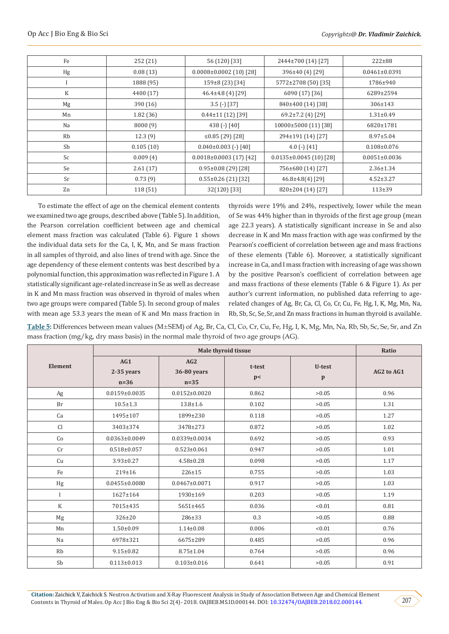| Fe | 252 (21)  | 56 (120) [33]                 | 2444±700 (14) [27]            | $222 \pm 88$        |
|----|-----------|-------------------------------|-------------------------------|---------------------|
| Hg | 0.08(13)  | $0.0008 \pm 0.0002$ (10) [28] | 396±40 (4) [29]               | $0.0461 \pm 0.0391$ |
|    |           |                               |                               |                     |
|    | 1888 (95) | 159±8 (23) [34]               | 5772±2708 (50) [35]           | 1786±940            |
| K  | 4400 (17) | $46.4\pm4.8$ (4) [29]         | 6090 (17) [36]                | 6289±2594           |
| Mg | 390(16)   | $3.5$ (-) [37]                | 840±400 (14) [38]             | 306±143             |
| Mn | 1.82(36)  | $0.44 \pm 11$ (12) [39]       | $69.2 \pm 7.2$ (4) [29]       | $1.31 \pm 0.49$     |
| Na | 8000(9)   | 438 $(-)$ [40]                | 10000±5000 (11) [38]          | 6820±1781           |
| Rb | 12.3(9)   | ≤0.85 $(29)$ [28]             | 294±191 (14) [27]             | $8.97 \pm 5.04$     |
| Sb | 0.105(10) | $0.040\pm0.003$ (-) [40]      | 4.0 $(-)$ [41]                | $0.108 \pm 0.076$   |
| Sc | 0.009(4)  | $0.0018 \pm 0.0003$ (17) [42] | $0.0135 \pm 0.0045$ (10) [28] | $0.0051 \pm 0.0036$ |
| Se | 2.61(17)  | $0.95 \pm 0.08$ (29) [28]     | 756±680 (14) [27]             | $2.36 \pm 1.34$     |
| Sr | 0.73(9)   | $0.55 \pm 0.26$ (21) [32]     | $46.8 \pm 4.8(4)$ [29]        | $4.52 \pm 3.27$     |
| Zn | 118 (51)  | $32(120)$ [33]                | 820±204 (14) [27]             | $113+39$            |

To estimate the effect of age on the chemical element contents we examined two age groups, described above (Table 5). In addition, the Pearson correlation coefficient between age and chemical element mass fraction was calculated (Table 6). Figure 1 shows the individual data sets for the Ca, I, K, Mn, and Se mass fraction in all samples of thyroid, and also lines of trend with age. Since the age dependency of these element contents was best described by a polynomial function, this approximation was reflected in Figure 1. A statistically significant age-related increase in Se as well as decrease in K and Mn mass fraction was observed in thyroid of males when two age groups were compared (Table 5). In second group of males with mean age 53.3 years the mean of K and Mn mass fraction in

thyroids were 19% and 24%, respectively, lower while the mean of Se was 44% higher than in thyroids of the first age group (mean age 22.3 years). A statistically significant increase in Se and also decrease in K and Mn mass fraction with age was confirmed by the Pearson's coefficient of correlation between age and mass fractions of these elements (Table 6). Moreover, a statistically significant increase in Ca, and I mass fraction with increasing of age was shown by the positive Pearson's coefficient of correlation between age and mass fractions of these elements (Table 6 & Figure 1). As per author's current information, no published data referring to agerelated changes of Ag, Br, Ca, Cl, Co, Cr, Cu, Fe, Hg, I, K, Mg, Mn, Na, Rb, Sb, Sc, Se, Sr, and Zn mass fractions in human thyroid is available.

Table 5: Differences between mean values (M±SEM) of Ag, Br, Ca, Cl, Co, Cr, Cu, Fe, Hg, I, K, Mg, Mn, Na, Rb, Sb, Sc, Se, Sr, and Zn mass fraction (mg/kg, dry mass basis) in the normal male thyroid of two age groups (AG).

|                |                             |                              | Male thyroid tissue |                        | Ratio      |
|----------------|-----------------------------|------------------------------|---------------------|------------------------|------------|
| <b>Element</b> | AG1<br>2-35 years<br>$n=36$ | AG2<br>36-80 years<br>$n=35$ | t-test<br>p<        | U-test<br>$\mathbf{p}$ | AG2 to AG1 |
| Ag             | $0.0159 \pm 0.0035$         | $0.0152 \pm 0.0020$          | 0.862               | >0.05                  | 0.96       |
| Br             | $10.5 \pm 1.3$              | $13.8 \pm 1.6$               | 0.102               | >0.05                  | 1.31       |
| Ca             | 1495±107                    | 1899±230                     | 0.118               | >0.05                  | 1.27       |
| Cl             | 3403±374                    | 3478±273                     | 0.872               | >0.05                  | 1.02       |
| Co             | $0.0363 \pm 0.0049$         | $0.0339 \pm 0.0034$          | 0.692               | >0.05                  | 0.93       |
| Cr             | $0.518 \pm 0.057$           | $0.523 \pm 0.061$            | 0.947               | >0.05                  | 1.01       |
| Cu             | $3.93 \pm 0.27$             | $4.58 \pm 0.28$              | 0.098               | >0.05                  | 1.17       |
| Fe             | $219 \pm 16$                | $226 \pm 15$                 | 0.755               | >0.05                  | 1.03       |
| Hg             | $0.0455 \pm 0.0080$         | $0.0467 \pm 0.0071$          | 0.917               | >0.05                  | 1.03       |
| I              | 1627±164                    | 1930±169                     | 0.203               | >0.05                  | 1.19       |
| $\rm K$        | 7015±435                    | 5651±465                     | 0.036               | < 0.01                 | 0.81       |
| $_{\rm Mg}$    | 326±20                      | 286±33                       | 0.3                 | >0.05                  | 0.88       |
| Mn             | $1.50 \pm 0.09$             | $1.14 \pm 0.08$              | 0.006               | < 0.01                 | 0.76       |
| Na             | 6978±321                    | 6675±289                     | 0.485               | >0.05                  | 0.96       |
| Rb             | $9.15 \pm 0.82$             | $8.75 \pm 1.04$              | 0.764               | >0.05                  | 0.96       |
| Sb             | $0.113 \pm 0.013$           | $0.103 \pm 0.016$            | 0.641               | >0.05                  | 0.91       |

207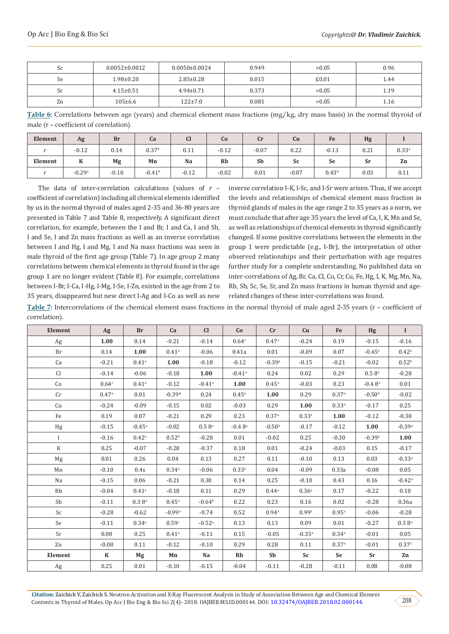| Sc | $0.0052 \pm 0.0012$ | $0.0050 \pm 0.0024$ | 0.949 | >0.05 | 0.96 |
|----|---------------------|---------------------|-------|-------|------|
| Se | 1.98±0.20           | $2.85 \pm 0.28$     | 0.015 | £0.01 | 1.44 |
| Sr | $4.15 \pm 0.51$     | $4.94 \pm 0.71$     | 0.373 | >0.05 | 1.19 |
| Zn | $105 \pm 6.6$       | $122 \pm 7.0$       | 0.081 | >0.05 | 1.16 |

**Table 6:** Correlations between age (years) and chemical element mass fractions (mg/kg, dry mass basis) in the normal thyroid of male (r – coefficient of correlation).

| Element | Ag       | <b>Br</b> | Ca                | $\mathbf{C}$<br>u | Co        | Cr      | Cu      | Fe                | Hg   |                   |
|---------|----------|-----------|-------------------|-------------------|-----------|---------|---------|-------------------|------|-------------------|
| $\sim$  | $-0.12$  | 0.14      | 0.37 <sup>b</sup> | 0.11              | $-0.12$   | $-0.07$ | 0.22    | $-0.13$           | 0.21 | 0.33 <sup>a</sup> |
| Element | л        | Mg        | Mn                | Na                | <b>Rb</b> | Sb      | Sc      | <b>Se</b>         | Sr   | Zn                |
| $\sim$  | $-0.29a$ | $-0.10$   | $-0.41^{\rm b}$   | $-0.12$           | $-0.02$   | 0.01    | $-0.07$ | 0.43 <sup>b</sup> | 0.03 | 0.11              |

The data of inter-correlation calculations (values of *r* – coefficient of correlation) including all chemical elements identified by us in the normal thyroid of males aged 2-35 and 36-80 years are presented in Table 7 and Table 8, respectively. A significant direct correlation, for example, between the I and Br, I and Ca, I and Sb, I and Se, I and Zn mass fractions as well as an inverse correlation between I and Hg, I and Mg, I and Na mass fractions was seen in male thyroid of the first age group (Table 7). In age group 2 many correlations between chemical elements in thyroid found in the age group 1 are no longer evident (Table 8). For example, correlations between I-Br, I-Ca, I-Hg, I-Mg, I-Se, I-Zn, existed in the age from 2 to 35 years, disappeared but new direct I-Ag and I-Co as well as new

inverse correlation I-K, I-Sc, and I-Sr were arisen. Thus, if we accept the levels and relationships of chemical element mass fraction in thyroid glands of males in the age range 2 to 35 years as a norm, we must conclude that after age 35 years the level of Ca, I, K, Mn and Se, as well as relationships of chemical elements in thyroid significantly changed. If some positive correlations between the elements in the group 1 were predictable (e.g., I-Br), the interpretation of other observed relationships and their perturbation with age requires further study for a complete understanding. No published data on inter-correlations of Ag, Br, Ca, Cl, Co, Cr, Cu, Fe, Hg, I, K, Mg, Mn, Na, Rb, Sb, Sc, Se, Sr, and Zn mass fractions in human thyroid and agerelated changes of these inter-correlations was found.

**Table 7:** Intercorrelations of the chemical element mass fractions in the normal thyroid of male aged 2-35 years (r – coefficient of correlation).

| Element      | Ag                | <b>Br</b>            | Ca                  | Cl                   | Co                   | cr                  | Cu                   | Fe                | Hg                   | $\bf{I}$             |
|--------------|-------------------|----------------------|---------------------|----------------------|----------------------|---------------------|----------------------|-------------------|----------------------|----------------------|
| $_{\rm Ag}$  | 1.00              | 0.14                 | $-0.21$             | $-0.14$              | 0.64c                | 0.47a               | $-0.24$              | 0.19              | $-0.15$              | $-0.16$              |
| <b>Br</b>    | 0.14              | 1.00                 | 0.41 <sup>a</sup>   | $-0.06$              | 0.41a                | 0.01                | $-0.09$              | 0.07              | $-0.45$ <sup>a</sup> | 0.42 <sup>a</sup>    |
| Ca           | $-0.21$           | 0.41 <sup>a</sup>    | 1.00                | $-0.18$              | $-0.12$              | $-0.39a$            | $-0.15$              | $-0.21$           | $-0.02$              | 0.52 <sup>b</sup>    |
| Cl           | $-0.14$           | $-0.06$              | $-0.18$             | 1.00                 | $-0.41$ <sup>a</sup> | 0.24                | 0.02                 | 0.29              | $0.5 8$ <sup>a</sup> | $-0.28$              |
| Co           | 0.64 <sup>c</sup> | $0.41$ <sup>a</sup>  | $-0.12$             | $-0.41$ <sup>a</sup> | 1.00                 | $0.45$ <sup>a</sup> | $-0.03$              | 0.23              | $-0.4\;8^{\rm a}$    | 0.01                 |
| Cr           | 0.47a             | 0.01                 | $-0.39a$            | 0.24                 | $0.45$ <sup>a</sup>  | 1.00                | 0.29                 | 0.37 <sup>a</sup> | $-0.50b$             | $-0.02$              |
| Cu           | $-0.24$           | $-0.09$              | $-0.15$             | 0.02                 | $-0.03$              | 0.29                | 1.00                 | $0.33^{a}$        | $-0.17$              | 0.25                 |
| Fe           | 0.19              | 0.07                 | $-0.21$             | 0.29                 | 0.23                 | 0.37a               | $0.33^{a}$           | 1.00              | $-0.12$              | $-0.30$              |
| Hg           | $-0.15$           | $-0.45$ <sup>a</sup> | $-0.02$             | $0.5 8$ <sup>a</sup> | $-0.48$ <sup>a</sup> | $-0.50b$            | $-0.17$              | $-0.12$           | 1.00                 | $-0.39a$             |
| $\mathbf{I}$ | $-0.16$           | 0.42 <sup>a</sup>    | 0.52 <sup>b</sup>   | $-0.28$              | 0.01                 | $-0.02$             | 0.25                 | $-0.30$           | $-0.39a$             | 1.00                 |
| $\rm K$      | 0.25              | $-0.07$              | $-0.28$             | $-0.37$              | 0.18                 | 0.01                | $-0.24$              | $-0.03$           | 0.15                 | $-0.17$              |
| Mg           | 0.01              | 0.26                 | 0.04                | 0.13                 | 0.27                 | 0.11                | $-0.10$              | 0.13              | 0.03                 | $-0.33$ <sup>a</sup> |
| Mn           | $-0.10$           | 0.4s                 | 0.34 <sup>a</sup>   | $-0.06$              | $0.33^{a}$           | 0.04                | $-0.09$              | 0.33a             | $-0.08$              | 0.05                 |
| Na           | $-0.15$           | 0.06                 | $-0.21$             | 0.30                 | 0.14                 | 0.25                | $-0.10$              | 0.43              | 0.16                 | $-0.42$ <sup>a</sup> |
| Rb           | $-0.04$           | 0.41 <sup>a</sup>    | $-0.18$             | 0.11                 | 0.29                 | 0.44a               | 0.36 <sup>a</sup>    | 0.17              | $-0.22$              | 0.10                 |
| Sb           | $-0.11$           | $0.3 8^{a}$          | $0.45^{\rm a}$      | $-0.64b$             | 0.22                 | 0.23                | 0.16                 | 0.02              | $-0.28$              | 0.36a                |
| Sc           | $-0.28$           | $-0.62$              | $-0.99a$            | $-0.74$              | 0.52                 | $0.94^{a}$          | 0.99a                | 0.95a             | $-0.06$              | $-0.28$              |
| Se           | $-0.11$           | 0.34a                | 0.59c               | $-0.52$ <sup>a</sup> | 0.13                 | 0.13                | 0.09                 | 0.01              | $-0.27$              | 0.3 8 <sup>a</sup>   |
| Sr           | 0.08              | 0.25                 | $0.41$ <sup>a</sup> | $-0.11$              | 0.15                 | $-0.05$             | $-0.35$ <sup>a</sup> | $0.34^{a}$        | $-0.01$              | 0.05                 |
| Zn           | $-0.08$           | 0.11                 | $-0.12$             | $-0.10$              | 0.29                 | 0.28                | 0.11                 | 0.37 <sup>a</sup> | $-0.01$              | 0.37a                |
| Element      | $\mathbf K$       | Mg                   | Mn                  | Na                   | Rb                   | Sb                  | Sc                   | Se                | Sr                   | Zn                   |
| Ag           | 0.25              | $0.01\,$             | $-0.10$             | $-0.15$              | $-0.04$              | $-0.11$             | $-0.28$              | $-0.11$           | 0.08                 | $-0.08$              |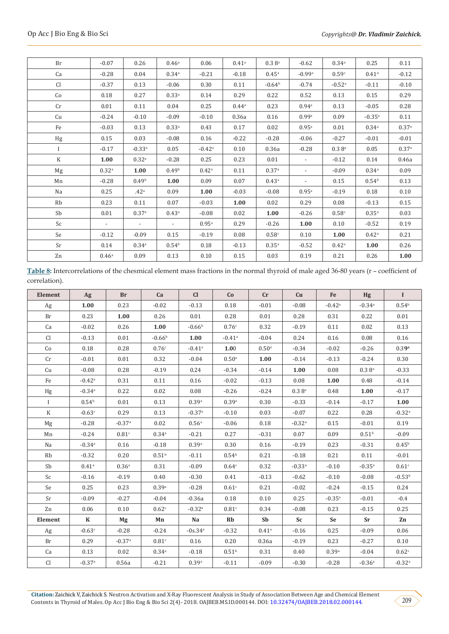| Br           | $-0.07$                  | 0.26                     | 0.46 <sup>a</sup>        | 0.06                 | 0.41 <sup>a</sup> | 0.3 8 <sup>a</sup> | $-0.62$                  | $0.34$ <sup>a</sup>  | 0.25                 | 0.11    |
|--------------|--------------------------|--------------------------|--------------------------|----------------------|-------------------|--------------------|--------------------------|----------------------|----------------------|---------|
| Ca           | $-0.28$                  | 0.04                     | 0.34 <sup>a</sup>        | $-0.21$              | $-0.18$           | $0.45^{\rm a}$     | $-0.99a$                 | 0.59c                | 0.41 <sup>a</sup>    | $-0.12$ |
| Cl           | $-0.37$                  | 0.13                     | $-0.06$                  | 0.30                 | 0.11              | $-0.64b$           | $-0.74$                  | $-0.52$ <sup>a</sup> | $-0.11$              | $-0.10$ |
| Co           | 0.18                     | 0.27                     | $0.33^{a}$               | 0.14                 | 0.29              | 0.22               | 0.52                     | 0.13                 | 0.15                 | 0.29    |
| Cr           | 0.01                     | 0.11                     | 0.04                     | 0.25                 | $0.44^{\rm a}$    | 0.23               | $0.94^{\circ}$           | 0.13                 | $-0.05$              | 0.28    |
| Cu           | $-0.24$                  | $-0.10$                  | $-0.09$                  | $-0.10$              | 0.36a             | 0.16               | 0.99a                    | 0.09                 | $-0.35$ <sup>a</sup> | 0.11    |
| Fe           | $-0.03$                  | 0.13                     | $0.33^{a}$               | 0.43                 | 0.17              | 0.02               | 0.95a                    | 0.01                 | $0.34^{a}$           | 0.37a   |
| Hg           | 0.15                     | 0.03                     | $-0.08$                  | 0.16                 | $-0.22$           | $-0.28$            | $-0.06$                  | $-0.27$              | $-0.01$              | $-0.01$ |
| $\mathbf{I}$ | $-0.17$                  | $-0.33$ <sup>a</sup>     | 0.05                     | $-0.42$ <sup>a</sup> | 0.10              | 0.36a              | $-0.28$                  | $0.3 8$ <sup>a</sup> | 0.05                 | 0.37a   |
| $\rm K$      | 1.00                     | 0.32 <sup>a</sup>        | $-0.28$                  | 0.25                 | 0.23              | 0.01               | $\overline{\phantom{a}}$ | $-0.12$              | 0.14                 | 0.46a   |
| Mg           | 0.32 <sup>a</sup>        | 1.00                     | 0.49 <sup>b</sup>        | 0.42 <sup>a</sup>    | 0.11              | 0.37a              |                          | $-0.09$              | 0.34 <sup>a</sup>    | 0.09    |
| Mn           | $-0.28$                  | 0.49 <sup>b</sup>        | 1.00                     | 0.09                 | 0.07              | $0.43^{\rm a}$     |                          | 0.15                 | 0.54 <sup>b</sup>    | 0.13    |
| Na           | 0.25                     | .42 <sup>a</sup>         | 0.09                     | 1.00                 | $-0.03$           | $-0.08$            | 0.95a                    | $-0.19$              | 0.18                 | 0.10    |
| Rb           | 0.23                     | 0.11                     | 0.07                     | $-0.03$              | 1.00              | 0.02               | 0.29                     | 0.08                 | $-0.13$              | 0.15    |
| Sb           | 0.01                     | 0.37a                    | 0.43 <sup>a</sup>        | $-0.08$              | 0.02              | 1.00               | $-0.26$                  | 0.58c                | $0.35$ <sup>a</sup>  | 0.03    |
| Sc           | $\overline{\phantom{a}}$ | $\overline{\phantom{a}}$ | $\overline{\phantom{a}}$ | 0.95a                | 0.29              | $-0.26$            | 1.00                     | 0.10                 | $-0.52$              | 0.19    |
| Se           | $-0.12$                  | $-0.09$                  | 0.15                     | $-0.19$              | 0.08              | 0.58c              | 0.10                     | 1.00                 | $0.42^{\rm a}$       | 0.21    |
| Sr           | 0.14                     | 0.34 <sup>a</sup>        | 0.54 <sup>b</sup>        | 0.18                 | $-0.13$           | $0.35^{a}$         | $-0.52$                  | 0.42 <sup>a</sup>    | 1.00                 | 0.26    |
| Zn           | 0.46 <sup>a</sup>        | 0.09                     | 0.13                     | 0.10                 | 0.15              | 0.03               | 0.19                     | 0.21                 | 0.26                 | 1.00    |
|              |                          |                          |                          |                      |                   |                    |                          |                      |                      |         |

**Table 8:** Intercorrelations of the chesmical element mass fractions in the normal thyroid of male aged 36-80 years (r – coefficient of correlation).

| Element        | Ag                   | <b>Br</b>            | Ca                | Cl                   | Co                   | Cr                  | Cu                   | Fe                   | Hg                   | $\mathbf{I}$      |
|----------------|----------------------|----------------------|-------------------|----------------------|----------------------|---------------------|----------------------|----------------------|----------------------|-------------------|
| Ag             | 1.00                 | 0.23                 | $-0.02$           | $-0.13$              | 0.18                 | $-0.01$             | $-0.08$              | $-0.42$ <sup>a</sup> | $-0.34$ <sup>a</sup> | 0.54 <sup>b</sup> |
| Br             | 0.23                 | 1.00                 | 0.26              | 0.01                 | 0.28                 | 0.01                | 0.28                 | 0.31                 | 0.22                 | 0.01              |
| Ca             | $-0.02$              | 0.26                 | 1.00              | $-0.66b$             | 0.76c                | 0.32                | $-0.19$              | 0.11                 | 0.02                 | 0.13              |
| C <sub>1</sub> | $-0.13$              | 0.01                 | $-0.66b$          | 1.00                 | $-0.41$ <sup>a</sup> | $-0.04$             | 0.24                 | 0.16                 | 0.08                 | 0.16              |
| Co             | 0.18                 | 0.28                 | 0.76c             | $-0.41$ <sup>a</sup> | 1.00                 | 0.50 <sup>a</sup>   | $-0.34$              | $-0.02$              | $-0.26$              | 0.39 <sup>a</sup> |
| Cr             | $-0.01$              | 0.01                 | 0.32              | $-0.04$              | 0.50 <sup>a</sup>    | 1.00                | $-0.14$              | $-0.13$              | $-0.24$              | 0.30              |
| Cu             | $-0.08$              | 0.28                 | $-0.19$           | 0.24                 | $-0.34$              | $-0.14$             | 1.00                 | 0.08                 | $0.3 8$ <sup>a</sup> | $-0.33$           |
| Fe             | $-0.42$ <sup>a</sup> | 0.31                 | 0.11              | 0.16                 | $-0.02$              | $-0.13$             | 0.08                 | 1.00                 | 0.48                 | $-0.14$           |
| Hg             | $-0.34$ <sup>a</sup> | 0.22                 | 0.02              | 0.08                 | $-0.26$              | $-0.24$             | $0.3 8^{\rm a}$      | 0.48                 | 1.00                 | $-0.17$           |
| $\mathbf{I}$   | 0.54 <sup>b</sup>    | 0.01                 | 0.13              | 0.39a                | 0.39 <sup>a</sup>    | 0.30                | $-0.33$              | $-0.14$              | $-0.17$              | 1.00              |
| K              | $-0.63c$             | 0.29                 | 0.13              | $-0.37a$             | $-0.10$              | 0.03                | $-0.07$              | 0.22                 | 0.28                 | $-0.32a$          |
| Mg             | $-0.28$              | $-0.37$ <sup>a</sup> | 0.02              | 0.56 <sup>a</sup>    | $-0.06$              | 0.18                | $-0.32$ <sup>a</sup> | 0.15                 | $-0.01$              | 0.19              |
| Mn             | $-0.24$              | 0.81c                | $0.34^{a}$        | $-0.21$              | 0.27                 | $-0.31$             | 0.07                 | 0.09                 | 0.51 <sup>b</sup>    | $-0.09$           |
| Na             | $-0.34$ <sup>a</sup> | 0.16                 | $-0.18$           | 0.39a                | 0.30                 | 0.16                | $-0.19$              | 0.23                 | $-0.31$              | $0.45^{\rm b}$    |
| Rb             | $-0.32$              | 0.20                 | 0.51 <sup>b</sup> | $-0.11$              | 0.54 <sup>b</sup>    | 0.21                | $-0.18$              | 0.21                 | 0.11                 | $-0.01$           |
| Sb             | $0.41$ <sup>a</sup>  | 0.36 <sup>a</sup>    | 0.31              | $-0.09$              | 0.64c                | 0.32                | $-0.33$ <sup>a</sup> | $-0.10$              | $-0.35$ <sup>a</sup> | 0.61c             |
| Sc             | $-0.16$              | $-0.19$              | 0.40              | $-0.30$              | 0.41                 | $-0.13$             | $-0.62$              | $-0.10$              | $-0.08$              | $-0.53b$          |
| Se             | 0.25                 | 0.23                 | 0.39a             | $-0.28$              | 0.61c                | 0.21                | $-0.02$              | $-0.24$              | $-0.15$              | 0.24              |
| Sr             | $-0.09$              | $-0.27$              | $-0.04$           | $-0.36a$             | 0.18                 | 0.10                | 0.25                 | $-0.35$ <sup>a</sup> | $-0.01$              | $-0.4$            |
| Zn             | 0.06                 | 0.10                 | 0.62c             | $-0.32$ <sup>a</sup> | 0.81c                | 0.34                | $-0.08$              | 0.23                 | $-0.15$              | 0.25              |
| Element        | $\mathbf K$          | Mg                   | Mn                | Na                   | <b>Rb</b>            | Sb                  | Sc                   | Se                   | <b>Sr</b>            | Zn                |
| Ag             | $-0.63c$             | $-0.28$              | $-0.24$           | $-0s.34a$            | $-0.32$              | $0.41$ <sup>a</sup> | $-0.16$              | 0.25                 | $-0.09$              | 0.06              |
| Br             | 0.29                 | $-0.37a$             | 0.81c             | 0.16                 | 0.20                 | 0.36a               | $-0.19$              | 0.23                 | $-0.27$              | 0.10              |
| Ca             | 0.13                 | 0.02                 | $0.34^{a}$        | $-0.18$              | 0.51 <sup>b</sup>    | 0.31                | 0.40                 | 0.39a                | $-0.04$              | 0.62c             |
| Cl             | $-0.37$ <sup>a</sup> | 0.56a                | $-0.21$           | 0.39a                | $-0.11$              | $-0.09$             | $-0.30$              | $-0.28$              | $-0.36a$             | $-0.32a$          |

209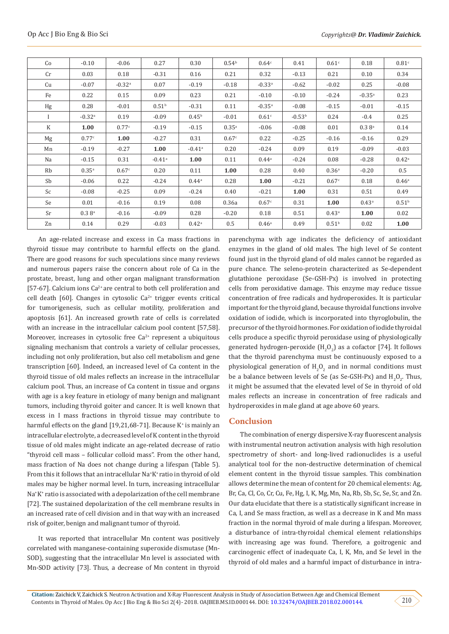| Co        | $-0.10$              | $-0.06$              | 0.27                 | 0.30                 | 0.54 <sup>b</sup> | 0.64 <sup>c</sup>    | 0.41     | 0.61 <sup>c</sup> | 0.18                 | 0.81c             |
|-----------|----------------------|----------------------|----------------------|----------------------|-------------------|----------------------|----------|-------------------|----------------------|-------------------|
| Cr        | 0.03                 | 0.18                 | $-0.31$              | 0.16                 | 0.21              | 0.32                 | $-0.13$  | 0.21              | 0.10                 | 0.34              |
| Cu        | $-0.07$              | $-0.32$ <sup>a</sup> | 0.07                 | $-0.19$              | $-0.18$           | $-0.33$ <sup>a</sup> | $-0.62$  | $-0.02$           | 0.25                 | $-0.08$           |
| Fe        | 0.22                 | 0.15                 | 0.09                 | 0.23                 | 0.21              | $-0.10$              | $-0.10$  | $-0.24$           | $-0.35a$             | 0.23              |
| Hg        | 0.28                 | $-0.01$              | $0.51^{b}$           | $-0.31$              | 0.11              | $-0.35$ <sup>a</sup> | $-0.08$  | $-0.15$           | $-0.01$              | $-0.15$           |
|           | $-0.32$ <sup>a</sup> | 0.19                 | $-0.09$              | $0.45^{\rm b}$       | $-0.01$           | 0.61 <sup>c</sup>    | $-0.53b$ | 0.24              | $-0.4$               | 0.25              |
| K         | 1.00                 | 0.77c                | $-0.19$              | $-0.15$              | $0.35^{a}$        | $-0.06$              | $-0.08$  | 0.01              | $0.3 8$ <sup>a</sup> | 0.14              |
| Mg        | 0.77c                | 1.00                 | $-0.27$              | 0.31                 | 0.67c             | 0.22                 | $-0.25$  | $-0.16$           | $-0.16$              | 0.29              |
| Mn        | $-0.19$              | $-0.27$              | 1.00                 | $-0.41$ <sup>a</sup> | 0.20              | $-0.24$              | 0.09     | 0.19              | $-0.09$              | $-0.03$           |
| Na        | $-0.15$              | 0.31                 | $-0.41$ <sup>a</sup> | 1.00                 | 0.11              | $0.44^{\rm a}$       | $-0.24$  | 0.08              | $-0.28$              | $0.42^{\rm a}$    |
| Rb        | 0.35a                | 0.67c                | 0.20                 | 0.11                 | 1.00              | 0.28                 | 0.40     | 0.36 <sup>a</sup> | $-0.20$              | 0.5               |
| Sb        | $-0.06$              | 0.22                 | $-0.24$              | 0.44a                | 0.28              | 1.00                 | $-0.21$  | 0.67c             | 0.18                 | 0.46 <sup>a</sup> |
| Sc        | $-0.08$              | $-0.25$              | 0.09                 | $-0.24$              | 0.40              | $-0.21$              | 1.00     | 0.31              | 0.51                 | 0.49              |
| Se        | 0.01                 | $-0.16$              | 0.19                 | 0.08                 | 0.36a             | 0.67c                | 0.31     | 1.00              | $0.43^{\circ}$       | 0.51 <sup>b</sup> |
| <b>Sr</b> | 0.3 8 <sup>a</sup>   | $-0.16$              | $-0.09$              | 0.28                 | $-0.20$           | 0.18                 | 0.51     | 0.43a             | 1.00                 | 0.02              |
| Zn        | 0.14                 | 0.29                 | $-0.03$              | 0.42 <sup>a</sup>    | 0.5               | 0.46 <sup>a</sup>    | 0.49     | 0.51 <sup>b</sup> | 0.02                 | 1.00              |

An age-related increase and excess in Ca mass fractions in thyroid tissue may contribute to harmful effects on the gland. There are good reasons for such speculations since many reviews and numerous papers raise the concern about role of Ca in the prostate, breast, lung and other organ malignant transformation [57-67]. Calcium ions  $Ca^{2+}$  are central to both cell proliferation and cell death [60]. Changes in cytosolic  $Ca^{2+}$  trigger events critical for tumorigenesis, such as cellular motility, proliferation and apoptosis [61]. An increased growth rate of cells is correlated with an increase in the intracellular calcium pool content [57,58]. Moreover, increases in cytosolic free  $Ca<sup>2+</sup>$  represent a ubiquitous signaling mechanism that controls a variety of cellular processes, including not only proliferation, but also cell metabolism and gene transcription [60]. Indeed, an increased level of Ca content in the thyroid tissue of old males reflects an increase in the intracellular calcium pool. Thus, an increase of Ca content in tissue and organs with age is a key feature in etiology of many benign and malignant tumors, including thyroid goiter and cancer. It is well known that excess in I mass fractions in thyroid tissue may contribute to harmful effects on the gland [19,21,68-71]. Because K<sup>+</sup> is mainly an intracellular electrolyte, a decreased level of K content in the thyroid tissue of old males might indicate an age-related decrease of ratio "thyroid cell mass – follicular colloid mass". From the other hand, mass fraction of Na does not change during a lifespan (Table 5). From this it follows that an intracellular Na<sup>+</sup> K+ ratio in thyroid of old males may be higher normal level. In turn, increasing intracellular Na+ K+ ratio is associated with a depolarization of the cell membrane [72]. The sustained depolarization of the cell membrane results in an increased rate of cell division and in that way with an increased risk of goiter, benign and malignant tumor of thyroid.

It was reported that intracellular Mn content was positively correlated with manganese-containing superoxide dismutase (Mn-SOD), suggesting that the intracellular Mn level is associated with Mn-SOD activity [73]. Thus, a decrease of Mn content in thyroid

parenchyma with age indicates the deficiency of antioxidant enzymes in the gland of old males. The high level of Se content found just in the thyroid gland of old males cannot be regarded as pure chance. The seleno-protein characterized as Se-dependent glutathione peroxidase (Se-GSH-Px) is involved in protecting cells from peroxidative damage. This enzyme may reduce tissue concentration of free radicals and hydroperoxides. It is particular important for the thyroid gland, because thyroidal functions involve oxidation of iodide, which is incorporated into thyroglobulin, the precursor of the thyroid hormones. For oxidation of iodide thyroidal cells produce a specific thyroid peroxidase using of physiologically generated hydrogen-peroxide  $(H_2O_2)$  as a cofactor [74]. It follows that the thyroid parenchyma must be continuously exposed to a physiological generation of  $H_2O_2$  and in normal conditions must be a balance between levels of Se (as Se-GSH-Px) and  $H_2O_2$ . Thus, it might be assumed that the elevated level of Se in thyroid of old males reflects an increase in concentration of free radicals and hydroperoxides in male gland at age above 60 years.

#### **Conclusion**

The combination of energy dispersive X-ray fluorescent analysis with instrumental neutron activation analysis with high resolution spectrometry of short- and long-lived radionuclides is a useful analytical tool for the non-destructive determination of chemical element content in the thyroid tissue samples. This combination allows determine the mean of content for 20 chemical elements: Ag, Br, Ca, Cl, Co, Cr, Cu, Fe, Hg, I, K, Mg, Mn, Na, Rb, Sb, Sc, Se, Sr, and Zn. Our data elucidate that there is a statistically significant increase in Ca, I, and Se mass fraction, as well as a decrease in K and Mn mass fraction in the normal thyroid of male during a lifespan. Moreover, a disturbance of intra-thyroidal chemical element relationships with increasing age was found. Therefore, a goitrogenic and carcinogenic effect of inadequate Ca, I, K, Mn, and Se level in the thyroid of old males and a harmful impact of disturbance in intra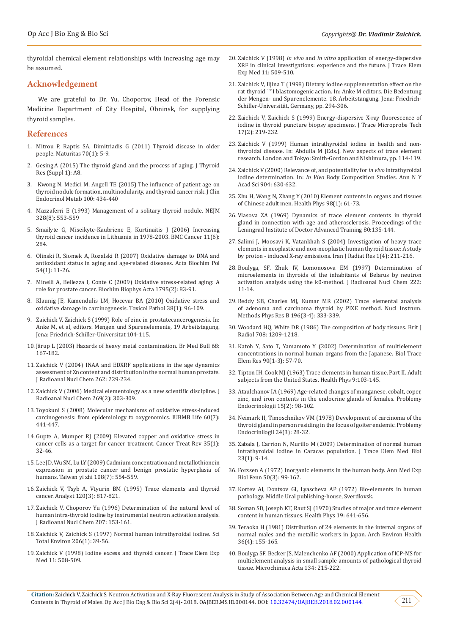thyroidal chemical element relationships with increasing age may be assumed.

#### **Acknowledgement**

We are grateful to Dr. Yu. Choporov, Head of the Forensic Medicine Department of City Hospital, Obninsk, for supplying thyroid samples.

#### **References**

- 1. [Mitrou P, Raptis SA, Dimitriadis G \(2011\) Thyroid disease in older](https://www.ncbi.nlm.nih.gov/pubmed/21719219)  [people. Maturitas 70\(1\): 5-9](https://www.ncbi.nlm.nih.gov/pubmed/21719219).
- 2. Gesing [A \(2015\) The thyroid gland and the process of aging. J Thyroid](https://www.ncbi.nlm.nih.gov/pmc/articles/PMC4480281/)  [Res \(Suppl 1\): A8.](https://www.ncbi.nlm.nih.gov/pmc/articles/PMC4480281/)
- 3. [Kwong N, Medici M, Angell TE \(2015\) The influence of patient age on](https://www.ncbi.nlm.nih.gov/pubmed/26465395)  [thyroid nodule formation, multinodularity, and thyroid cancer risk. J Clin](https://www.ncbi.nlm.nih.gov/pubmed/26465395)  [Endocrinol Metab 100: 434-440](https://www.ncbi.nlm.nih.gov/pubmed/26465395)
- 4. [Mazzaferri E \(1993\) Management of a solitary thyroid nodule. NEJM](https://www.ncbi.nlm.nih.gov/pubmed/8426623)  [328\(8\): 553-559](https://www.ncbi.nlm.nih.gov/pubmed/8426623)
- 5. [Smailyte G, Miseikyte-Kaubriene E, Kurtinaitis J \(2006\) Increasing](http://www.ncbi.nlm.nih.gov/pubmed/17156468)  [thyroid cancer incidence in Lithuania in 1978-2003. BMC Cancer 11\(6\):](http://www.ncbi.nlm.nih.gov/pubmed/17156468)  [284.](http://www.ncbi.nlm.nih.gov/pubmed/17156468)
- 6. [Olinski R, Siomek A, Rozalski R \(2007\) Oxidative damage to DNA and](https://www.ncbi.nlm.nih.gov/pubmed/17220955)  [antioxidant status in aging and age-related diseases. Acta Biochim Pol](https://www.ncbi.nlm.nih.gov/pubmed/17220955)  [54\(1\): 11-26.](https://www.ncbi.nlm.nih.gov/pubmed/17220955)
- 7. [Minelli A, Bellezza I, Conte C \(2009\) Oxidative stress-related aging: A](https://www.ncbi.nlm.nih.gov/pubmed/19121370)  [role for prostate cancer. Biochim Biophys Acta 1795\(2\): 83-91.](https://www.ncbi.nlm.nih.gov/pubmed/19121370)
- 8. [Klaunig JE, Kamendulis LM, Hocevar BA \(2010\) Oxidative stress and](http://www.ncbi.nlm.nih.gov/pubmed/20019356)  [oxidative damage in carcinogenesis. Toxicol Pathol 38\(1\): 96-109.](http://www.ncbi.nlm.nih.gov/pubmed/20019356)
- 9. Zaichick V, Zaichick S (1999) Role of zinc in prostatecancerogenesis. In: Anke M, et al, editors. Mengen und Spurenelemente, 19 Arbeitstagung. Jena: Friedrich-Schiller-Universitat 104-115.
- 10. [Järup L \(2003\) Hazards of heavy metal contamination. Br Med Bull 68:](http://www.ncbi.nlm.nih.gov/pubmed/14757716)  [167-182.](http://www.ncbi.nlm.nih.gov/pubmed/14757716)
- 11. [Zaichick V \(2004\) INAA and EDXRF applications in the age dynamics](https://link.springer.com/article/10.1023%2FB%3AJRNC.0000040879.45030.4f)  [assessment of Zn content and distribution in the normal human prostate.](https://link.springer.com/article/10.1023%2FB%3AJRNC.0000040879.45030.4f)  [J Radioanal Nucl Chem 262: 229-234.](https://link.springer.com/article/10.1023%2FB%3AJRNC.0000040879.45030.4f)
- 12. [Zaichick V \(2006\) Medical elementology as a new scientific discipline. J](https://link.springer.com/article/10.1007/s10967-006-0383-3)  [Radioanal Nucl Chem 269\(2\): 303-309.](https://link.springer.com/article/10.1007/s10967-006-0383-3)
- 13. [Toyokuni S \(2008\) Molecular mechanisms of oxidative stress-induced](file:///C:\Users\LPWEB-45\Desktop\pending\LUPIN\OAJBEB.MS.ID.000144\OAJBEB-RA-18-144_W\Molecular%20mechanisms%20of%20oxidative%20stress-induced%20carcinogenesis:%20from)  [carcinogenesis: from epidemiology to oxygenomics. IUBMB Life 60\(7\):](file:///C:\Users\LPWEB-45\Desktop\pending\LUPIN\OAJBEB.MS.ID.000144\OAJBEB-RA-18-144_W\Molecular%20mechanisms%20of%20oxidative%20stress-induced%20carcinogenesis:%20from)  [441-447.](file:///C:\Users\LPWEB-45\Desktop\pending\LUPIN\OAJBEB.MS.ID.000144\OAJBEB-RA-18-144_W\Molecular%20mechanisms%20of%20oxidative%20stress-induced%20carcinogenesis:%20from)
- 14. [Gupte A, Mumper RJ \(2009\) Elevated copper and oxidative stress in](https://www.ncbi.nlm.nih.gov/pubmed/18774652)  [cancer cells as a target for cancer treatment. Cancer Treat Rev 35\(1\):](https://www.ncbi.nlm.nih.gov/pubmed/18774652)  [32-46.](https://www.ncbi.nlm.nih.gov/pubmed/18774652)
- 15. [Lee JD, Wu SM, Lu LY \(2009\) Cadmium concentration and metallothionein](https://www.ncbi.nlm.nih.gov/pubmed/19586829)  [expression in prostate cancer and benign prostatic hyperplasia of](https://www.ncbi.nlm.nih.gov/pubmed/19586829)  [humans. Taiwan yi zhi 108\(7\): 554-559.](https://www.ncbi.nlm.nih.gov/pubmed/19586829)
- 16. [Zaichick V, Tsyb A, Vtyurin BM \(1995\) Trace elements and thyroid](https://www.ncbi.nlm.nih.gov/pubmed/7741233)  [cancer. Analyst 120\(3\): 817-821.](https://www.ncbi.nlm.nih.gov/pubmed/7741233)
- 17. [Zaichick V, Choporov Yu \(1996\) Determination of the natural level of](https://akademiai.com/doi/abs/10.1007/BF02036535?journalCode=10967)  [human intra-thyroid iodine by instrumental neutron activation analysis.](https://akademiai.com/doi/abs/10.1007/BF02036535?journalCode=10967)  [J Radioanal Nucl Chem 207: 153-161.](https://akademiai.com/doi/abs/10.1007/BF02036535?journalCode=10967)
- 18. [Zaichick V, Zaichick S \(1997\) Normal human intrathyroidal iodine. Sci](https://www.ncbi.nlm.nih.gov/pubmed/9373990)  [Total Environ 206\(1\): 39-56.](https://www.ncbi.nlm.nih.gov/pubmed/9373990)
- 19. Zaichick V (1998) Iodine excess and thyroid cancer. J Trace Elem Exp Med 11: 508-509.
- 20. Zaichick V (1998) *In vivo* and *in vitro* [application of energy-dispersive](http://www.scirp.org/(S(351jmbntvnsjt1aadkposzje))/reference/ReferencesPapers.aspx?ReferenceID=1490208) [XRF in clinical investigations: experience and the future. J Trace Elem](http://www.scirp.org/(S(351jmbntvnsjt1aadkposzje))/reference/ReferencesPapers.aspx?ReferenceID=1490208) [Exp Med 11: 509-510.](http://www.scirp.org/(S(351jmbntvnsjt1aadkposzje))/reference/ReferencesPapers.aspx?ReferenceID=1490208)
- 21. Zaichick V, Iljina T (1998) Dietary iodine supplementation effect on the rat thyroid 131I blastomogenic action. In: Anke M editors. Die Bedentung der Mengen- und Spurenelemente. 18. Arbeitstangung. Jena: Friedrich-Schiller-Universität, Germany, pp. 294-306.
- 22. [Zaichick V, Zaichick S \(1999\) Energy-dispersive X-ray fluorescence of](https://eurekamag.com/research/010/588/010588090.php) [iodine in thyroid puncture biopsy specimens. J Trace Microprobe Tech](https://eurekamag.com/research/010/588/010588090.php) [17\(2\): 219-232.](https://eurekamag.com/research/010/588/010588090.php)
- 23. Zaichick V (1999) Human intrathyroidal iodine in health and nonthyroidal disease. In: Abdulla M [Eds.]. New aspects of trace element research. London and Tokyo: Smith-Gordon and Nishimura, pp. 114-119.
- 24. [Zaichick V \(2000\) Relevance of, and potentiality for](https://www.tib.eu/en/search/id/BLSE%3ARN082624430/Relevance-of-and-Potentiality-for-in-Vivo-Intrathyroidal/) *in vivo* intrathyroidal iodine determination. In: *In Vivo* [Body Composition Studies. Ann N Y](https://www.tib.eu/en/search/id/BLSE%3ARN082624430/Relevance-of-and-Potentiality-for-in-Vivo-Intrathyroidal/) [Acad Sci 904: 630-632.](https://www.tib.eu/en/search/id/BLSE%3ARN082624430/Relevance-of-and-Potentiality-for-in-Vivo-Intrathyroidal/)
- 25. [Zhu H, Wang N, Zhang Y \(2010\) Element contents in organs and tissues](https://www.ncbi.nlm.nih.gov/pubmed/19959952) [of Chinese adult men. Health Phys 98\(1\): 61-73.](https://www.ncbi.nlm.nih.gov/pubmed/19959952)
- 26. Vlasova ZA (1969) Dynamics of trace element contents in thyroid gland in connection with age and atherosclerosis. Proceedings of the Leningrad Institute of Doctor Advanced Training 80:135-144.
- 27. [Salimi J, Moosavi K, Vatankhah S \(2004\) Investigation of heavy trace](https://inis.iaea.org/search/search.aspx?orig_q=RN:35074722) [elements in neoplastic and non-neoplastic human thyroid tissue: A study](https://inis.iaea.org/search/search.aspx?orig_q=RN:35074722) [by proton - induced X-ray emissions. Iran J Radiat Res 1\(4\): 211-216.](https://inis.iaea.org/search/search.aspx?orig_q=RN:35074722)
- 28. Boulyga, SF, [Zhuk IV, Lomonosova EM \(1997\) Determination of](https://link.springer.com/article/10.1007%2FBF02034238) [microelements in thyroids of the inhabitants of Belarus by neutron](https://link.springer.com/article/10.1007%2FBF02034238) [activation analysis using the k0-method. J Radioanal Nucl Chem 222:](https://link.springer.com/article/10.1007%2FBF02034238) [11-14.](https://link.springer.com/article/10.1007%2FBF02034238)
- 29. [Reddy SB, Charles MJ, Kumar MR \(2002\) Trace elemental analysis](https://www.researchgate.net/publication/223853105_Trace_elemental_analysis_of_adenoma_and_carcinoma_thyroid_by_PIXE_method) [of adenoma and carcinoma thyroid by PIXE method. Nucl Instrum.](https://www.researchgate.net/publication/223853105_Trace_elemental_analysis_of_adenoma_and_carcinoma_thyroid_by_PIXE_method) [Methods Phys Res B 196\(3-4\): 333-339.](https://www.researchgate.net/publication/223853105_Trace_elemental_analysis_of_adenoma_and_carcinoma_thyroid_by_PIXE_method)
- 30. [Woodard HQ, White DR \(1986\) The composition of body tissues. Brit J](https://www.birpublications.org/doi/10.1259/0007-1285-59-708-1209) [Radiol 708: 1209-1218.](https://www.birpublications.org/doi/10.1259/0007-1285-59-708-1209)
- 31. [Katoh Y, Sato T, Yamamoto Y \(2002\) Determination of multielement](https://www.ncbi.nlm.nih.gov/pubmed/12666826) [concentrations in normal human organs from the Japanese. Biol Trace](https://www.ncbi.nlm.nih.gov/pubmed/12666826) [Elem Res 90\(1-3\): 57-70.](https://www.ncbi.nlm.nih.gov/pubmed/12666826)
- 32. [Tipton IH, Cook MJ \(1963\) Trace elements in human tissue. Part II. Adult](https://journals.lww.com/health-physics/Abstract/1963/02000/Trace_Elements_in_Human_Tissue_Part_I__Methods.1.aspx) [subjects from the United States. Health Phys 9:103-145](https://journals.lww.com/health-physics/Abstract/1963/02000/Trace_Elements_in_Human_Tissue_Part_I__Methods.1.aspx).
- 33. Ataulchanov IA (1969) Age-related changes of manganese, cobalt, coper, zinc, and iron contents in the endocrine glands of females. Problemy Endocrinologii 15(2): 98-102.
- 34. Neimark II, Timoschnikov VM (1978) Development of carcinoma of the thyroid gland in person residing in the focus of goiter endemic. Problemy Endocrinilogii 24(3): 28-32.
- 35. [Zabala J, Carrion N, Murillo M \(2009\) Determination of normal human](https://www.sciencedirect.com/science/article/pii/S0946672X08001363) [intrathyroidal iodine in Caracas population. J Trace Elem Med Biol](https://www.sciencedirect.com/science/article/pii/S0946672X08001363) [23\(1\): 9-14.](https://www.sciencedirect.com/science/article/pii/S0946672X08001363)
- 36. [Forssen A \(1972\) Inorganic elements in the human body. Ann Med Exp](https://www.ncbi.nlm.nih.gov/pubmed/5081903) [Biol Fenn 50\(3\): 99-162.](https://www.ncbi.nlm.nih.gov/pubmed/5081903)
- 37. Kortev AI, Dontsov GI, Lyascheva AP (1972) Bio-elements in human pathology. Middle Ural publishing-house, Sverdlovsk.
- 38. [Soman SD, Joseph KT, Raut SJ \(1970\) Studies of major and trace element](https://journals.lww.com/health-physics/Abstract/1970/11000/Studies_on_Major_and_Trace_Element_Content_in.6.aspx) [content in human tissues. Health Phys 19: 641-656.](https://journals.lww.com/health-physics/Abstract/1970/11000/Studies_on_Major_and_Trace_Element_Content_in.6.aspx)
- 39. [Teraoka H \(1981\) Distribution of 24 elements in the internal organs of](file:///C:\Users\LPWEB-45\Desktop\pending\LUPIN\OAJBEB.MS.ID.000144\OAJBEB-RA-18-144_W\Distribution%20of%2024%20elements%20in%20the%20internal%20organs%20of%20normal%20males%20and%20the) [normal males and the metallic workers in Japan. Arch Environ Health](file:///C:\Users\LPWEB-45\Desktop\pending\LUPIN\OAJBEB.MS.ID.000144\OAJBEB-RA-18-144_W\Distribution%20of%2024%20elements%20in%20the%20internal%20organs%20of%20normal%20males%20and%20the) [36\(4\): 155-165](file:///C:\Users\LPWEB-45\Desktop\pending\LUPIN\OAJBEB.MS.ID.000144\OAJBEB-RA-18-144_W\Distribution%20of%2024%20elements%20in%20the%20internal%20organs%20of%20normal%20males%20and%20the).
- 40. [Boulyga SF, Becker JS, Malenchenko AF \(2000\) Application of ICP-MS for](https://link.springer.com/article/10.1007/s006040050069) [multielement analysis in small sample amounts of pathological thyroid](https://link.springer.com/article/10.1007/s006040050069) [tissue. Microchimica Acta 134: 215-222](https://link.springer.com/article/10.1007/s006040050069).

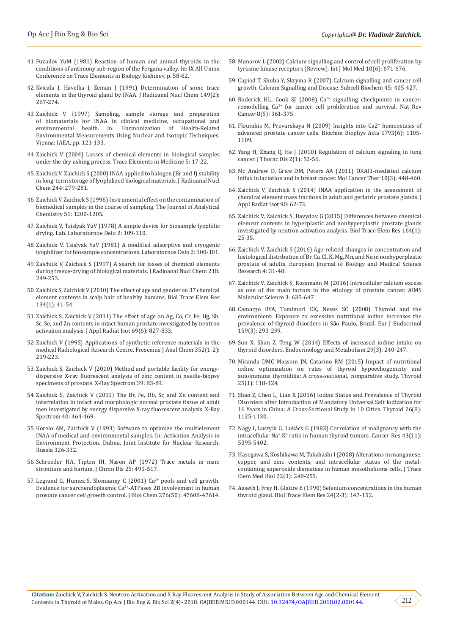- 41. Fuzailov YuM (1981) Reaction of human and animal thyroids in the conditions of antimony sub-region of the Fergana valley. In: IX All-Union Conference on Trace Elements in Biology Kishinev, p. 58-62.
- 42. [Kvicala J, Havelka J, Zeman J \(1991\) Determination of some trace](https://link.springer.com/article/10.1007/BF02062052)  [elements in the thyroid gland by INAA. J Radioanal Nucl Chem 149\(2\):](https://link.springer.com/article/10.1007/BF02062052)  [267-274.](https://link.springer.com/article/10.1007/BF02062052)
- 43. [Zaichick V \(1997\) Sampling, sample storage and preparation](https://inis.iaea.org/search/search.aspx?orig_q=RN:29019688)  [of biomaterials for INAA in clinical medicine, occupational and](https://inis.iaea.org/search/search.aspx?orig_q=RN:29019688)  [environmental health. In: Harmonization of Health-Related](https://inis.iaea.org/search/search.aspx?orig_q=RN:29019688)  [Environmental Measurements Using Nuclear and Isotopic Techniques.](https://inis.iaea.org/search/search.aspx?orig_q=RN:29019688)  [Vienna: IAEA, pp. 123-133.](https://inis.iaea.org/search/search.aspx?orig_q=RN:29019688)
- 44. [Zaichick V \(2004\) Losses of chemical elements in biological samples](http://journal.microelements.ru/trace_elements_in_medicine/2004_3/17-22.pdf)  [under the dry ashing process. Trace Elements in Medicine 5: 17-22.](http://journal.microelements.ru/trace_elements_in_medicine/2004_3/17-22.pdf)
- 45. [Zaichick V, Zaichick S \(2000\) INAA applied to halogen \(Br and I\) stability](https://link.springer.com/article/10.1023/A:1006734114204)  [in long-term storage of lyophilized biological materials. J Radioanal Nucl](https://link.springer.com/article/10.1023/A:1006734114204)  [Chem 244: 279-281.](https://link.springer.com/article/10.1023/A:1006734114204)
- 46. Zaichick V, Zaichick S (1996) Instrumental effect on the contamination of biomedical samples in the course of sampling. The Journal of Analytical Chemistry 51: 1200-1205.
- 47. Zaichick V, Tsislyak YuV (1978) A simple device for biosample lyophilic drying. Lab. Laboratornoe Delo 2: 109-110.
- 48. Zaichick V, Tsislyak YuV (1981) A modified adsorptive and cryogenic lyophilizer for biosample concentrations. Laboratornoe Delo 2: 100-101.
- 49. [Zaichick V, Zaichick S \(1997\) A search for losses of chemical elements](https://akademiai.com/doi/abs/10.1007/BF02039345)  [during freeze-drying of biological materials. J Radioanal Nucl Chem 218:](https://akademiai.com/doi/abs/10.1007/BF02039345)  [249-253.](https://akademiai.com/doi/abs/10.1007/BF02039345)
- 50. [Zaichick S, Zaichick V \(2010\) The effect of age and gender on 37 chemical](https://www.ncbi.nlm.nih.gov/pubmed/19629406)  [element contents in scalp hair of healthy humans. Biol Trace Elem Res](https://www.ncbi.nlm.nih.gov/pubmed/19629406)  [134\(1\): 41-54](https://www.ncbi.nlm.nih.gov/pubmed/19629406).
- 51. [Zaichick S, Zaichick V \(2011\) The effect of age on Ag, Co, Cr, Fe, Hg, Sb,](https://www.ncbi.nlm.nih.gov/pubmed/21354803)  [Sc, Se, and Zn contents in intact human prostate investigated by neutron](https://www.ncbi.nlm.nih.gov/pubmed/21354803)  [activation analysis. J Appl Radiat Isot 69\(6\): 827-833.](https://www.ncbi.nlm.nih.gov/pubmed/21354803)
- 52. [Zaichick V \(1995\) Applications of synthetic reference materials in the](https://link.springer.com/article/10.1007/BF00322330)  [medical Radiological Research Centre. Fresenius J Anal Chem 352\(1-2\):](https://link.springer.com/article/10.1007/BF00322330)  [219-223.](https://link.springer.com/article/10.1007/BF00322330)
- 53. [Zaichick S, Zaichick V \(2010\) Method and portable facility for energy](https://onlinelibrary.wiley.com/doi/abs/10.1002/xrs.1233)[dispersive X-ray fluorescent analysis of zinc content in needle-biopsy](https://onlinelibrary.wiley.com/doi/abs/10.1002/xrs.1233)  [specimens of prostate. X-Ray Spectrom 39: 83-89.](https://onlinelibrary.wiley.com/doi/abs/10.1002/xrs.1233)
- 54. [Zaichick S, Zaichick V \(2011\) The Br, Fe, Rb, Sr, and Zn content and](https://onlinelibrary.wiley.com/doi/abs/10.1002/xrs.1370)  [interrelation in intact and morphologic normal prostate tissue of adult](https://onlinelibrary.wiley.com/doi/abs/10.1002/xrs.1370)  [men investigated by energy dispersive X-ray fluorescent analysis. X-Ray](https://onlinelibrary.wiley.com/doi/abs/10.1002/xrs.1370)  [Spectrom 40: 464-469.](https://onlinelibrary.wiley.com/doi/abs/10.1002/xrs.1370)
- 55. [Korelo AM, Zaichick V \(1993\) Software to optimize the multielement](https://scholar.google.com/scholar?hl=en&as_sdt=0,5&cluster=7462983440740150354)  [INAA of medical and environmental samples. In: Activation Analysis in](https://scholar.google.com/scholar?hl=en&as_sdt=0,5&cluster=7462983440740150354)  [Environment Protection. Dubna, Joint Institute for Nuclear Research,](https://scholar.google.com/scholar?hl=en&as_sdt=0,5&cluster=7462983440740150354)  [Russia 326-332.](https://scholar.google.com/scholar?hl=en&as_sdt=0,5&cluster=7462983440740150354)
- 56. [Schroeder HA, Tipton IH, Nason AP \(1972\) Trace metals in man:](https://www.sciencedirect.com/science/article/pii/0021968172901506)  [strontium and barium. J Chron Dis 25: 491-517.](https://www.sciencedirect.com/science/article/pii/0021968172901506)
- 57. Legrand G, Humez S, Slomianny C (2001) Ca<sup>2+</sup> pools and cell growth. [Evidence for sarcoendoplasmic Ca2+-ATPases 2B involvement in human](https://www.ncbi.nlm.nih.gov/pubmed/11606580)  [prostate cancer cell growth control. J Biol Chem 276\(50\): 47608-47614.](https://www.ncbi.nlm.nih.gov/pubmed/11606580)
- 58. [Munarov L \(2002\) Calcium signalling and control of cell proliferation by](https://www.ncbi.nlm.nih.gov/pubmed/12429990) [tyrosine kinase receptors \(Review\). Int J Mol Med 10\(6\): 671-676.](https://www.ncbi.nlm.nih.gov/pubmed/12429990)
- 59. [Capiod T, Shuba Y, Skryma R \(2007\) Calcium signalling and cancer cell](https://www.ncbi.nlm.nih.gov/pubmed/18193646) [growth. Calcium Signalling and Disease. Subcell Biochem 45: 405-427.](https://www.ncbi.nlm.nih.gov/pubmed/18193646)
- 60. Roderick HL, Cook SJ (2008)  $Ca^{2+}$  signalling checkpoints in cancer: remodelling Ca<sup>2+</sup> for cancer cell proliferation and survival. Nat Rev [Cancer 8\(5\): 361-375.](https://www.ncbi.nlm.nih.gov/pubmed/18432251)
- 61. [Flourakis M, Prevarskaya N \(2009\) Insights into Ca2](https://www.ncbi.nlm.nih.gov/pubmed/19339216)<sup>+</sup> homeostasis of [advanced prostate cancer cells. Biochim Biophys Acta 1793\(6\): 1105-](https://www.ncbi.nlm.nih.gov/pubmed/19339216) [1109](https://www.ncbi.nlm.nih.gov/pubmed/19339216).
- 62. [Yang H, Zhang Q, He J \(2010\) Regulation of calcium signaling in lung](https://www.ncbi.nlm.nih.gov/pmc/articles/PMC3256429/) [cancer. J Thorac Dis 2\(1\): 52-56.](https://www.ncbi.nlm.nih.gov/pmc/articles/PMC3256429/)
- 63. [Mc Andrew D, Grice DM, Peters AA \(2011\) ORAI1-mediated calcium](https://www.ncbi.nlm.nih.gov/pubmed/21224390) [influx in lactation and in breast cancer. Mol Cancer Ther 10\(3\): 448-460](https://www.ncbi.nlm.nih.gov/pubmed/21224390).
- 64. [Zaichick V, Zaichick S \(2014\) INAA application in the assessment of](https://www.sciencedirect.com/science/article/pii/S0969804314000876) [chemical element mass fractions in adult and geriatric prostate glands. J](https://www.sciencedirect.com/science/article/pii/S0969804314000876) [Appl Radiat Isot 90: 62-73.](https://www.sciencedirect.com/science/article/pii/S0969804314000876)
- 65. [Zaichick V, Zaichick S, Davydov G \(2015\) Differences between chemical](https://www.ncbi.nlm.nih.gov/pubmed/25519178) [element contents in hyperplastic and nonhyperplastic prostate glands](https://www.ncbi.nlm.nih.gov/pubmed/25519178) [investigated by neutron activation analysis. Biol Trace Elem Res 164\(1\):](https://www.ncbi.nlm.nih.gov/pubmed/25519178) [25-35](https://www.ncbi.nlm.nih.gov/pubmed/25519178).
- 66. [Zaichick V, Zaichick S \(2016\) Age-related changes in concentration and](http://www.eajournals.org/journals/european-journal-of-biology-and-medical-science-research-ejbmsr/vol-4-issue-2-may-2016/age-related-changes-concentration-histological-distribution-br-ca-cl-k-mg-mn-na-nonhyperplastic-prostate-adults/) [histological distribution of Br, Ca, Cl, K, Mg, Mn, and Na in nonhyperplastic](http://www.eajournals.org/journals/european-journal-of-biology-and-medical-science-research-ejbmsr/vol-4-issue-2-may-2016/age-related-changes-concentration-histological-distribution-br-ca-cl-k-mg-mn-na-nonhyperplastic-prostate-adults/) [prostate of adults. European Journal of Biology and Medical Science](http://www.eajournals.org/journals/european-journal-of-biology-and-medical-science-research-ejbmsr/vol-4-issue-2-may-2016/age-related-changes-concentration-histological-distribution-br-ca-cl-k-mg-mn-na-nonhyperplastic-prostate-adults/) [Research 4: 31-48.](http://www.eajournals.org/journals/european-journal-of-biology-and-medical-science-research-ejbmsr/vol-4-issue-2-may-2016/age-related-changes-concentration-histological-distribution-br-ca-cl-k-mg-mn-na-nonhyperplastic-prostate-adults/)
- 67. [Zaichick V, Zaichick S, Rossmann M \(2016\) Intracellular calcium excess](https://www.ingentaconnect.com/content/doaj/2372028x/2016/00000003/00000004/art00008) [as one of the main factors in the etiology of prostate cancer. AIMS](https://www.ingentaconnect.com/content/doaj/2372028x/2016/00000003/00000004/art00008) [Molecular Science 3: 635-647](https://www.ingentaconnect.com/content/doaj/2372028x/2016/00000003/00000004/art00008)
- 68. Camargo RYA, Tomimori EK, [Neves SC \(2008\) Thyroid and the](https://www.ncbi.nlm.nih.gov/pubmed/18586897) [environment: Exposure to excessive nutritional iodine increases the](https://www.ncbi.nlm.nih.gov/pubmed/18586897) [prevalence of thyroid disorders in S](https://www.ncbi.nlm.nih.gov/pubmed/18586897)**ã**o Paulo, Brazil. Eur J Endocrinol [159\(3\): 293-299.](https://www.ncbi.nlm.nih.gov/pubmed/18586897)
- 69. Sun X, Shan Z, [Teng W \(2014\) Effects of increased iodine intake on](https://www.ncbi.nlm.nih.gov/pmc/articles/PMC4192807/) [thyroid disorders. Endocrinology and Metabolism 29\(3\): 240-247.](https://www.ncbi.nlm.nih.gov/pmc/articles/PMC4192807/)
- 70. [Miranda DMC Massom JN, Catarino RM \(2015\) Impact of nutritional](https://www.ncbi.nlm.nih.gov/pubmed/25314342) [iodine optimization on rates of thyroid hypoechogenicity and](https://www.ncbi.nlm.nih.gov/pubmed/25314342) [autoimmune thyroiditis: A cross-sectional, comparative study. Thyroid](https://www.ncbi.nlm.nih.gov/pubmed/25314342) [25\(1\): 118-124.](https://www.ncbi.nlm.nih.gov/pubmed/25314342)
- 71. Shan Z, Chen L, [Lian X \(2016\) Iodine Status and Prevalence of Thyroid](https://www.ncbi.nlm.nih.gov/pubmed/27370068) [Disorders after Introduction of Mandatory Universal Salt Iodization for](https://www.ncbi.nlm.nih.gov/pubmed/27370068) [16 Years in China: A Cross-Sectional Study in 10 Cities. Thyroid 26\(8\):](https://www.ncbi.nlm.nih.gov/pubmed/27370068) [1125-1130.](https://www.ncbi.nlm.nih.gov/pubmed/27370068)
- 72. Nagy I, Lustyik G, [Lukács G \(1983\) Correlation of malignancy with the](https://www.ncbi.nlm.nih.gov/pubmed/6616471) intracellular Na+ :K<sup>+</sup> ratio in human thyroid [tumors. Cancer Res 43\(11\):](https://www.ncbi.nlm.nih.gov/pubmed/6616471) [5395-5402.](https://www.ncbi.nlm.nih.gov/pubmed/6616471)
- 73. [Hasegawa S, Koshikawa M, Takahashi I \(2008\) Alterations in manganese,](https://www.ncbi.nlm.nih.gov/pubmed/18755401) [copper, and zinc contents, and intracellular status of the metal](https://www.ncbi.nlm.nih.gov/pubmed/18755401)[containing superoxide dismutase in human mesothelioma cells. J Trace](https://www.ncbi.nlm.nih.gov/pubmed/18755401) [Elem Med Biol 22\(3\): 248-255.](https://www.ncbi.nlm.nih.gov/pubmed/18755401)
- 74. [Aaseth J, Frey H, Glattre E \(1990\) Selenium concentrations in the human](https://www.ncbi.nlm.nih.gov/pubmed/1702666) [thyroid gland. Biol Trace Elem Res 24\(2-3\): 147-152.](https://www.ncbi.nlm.nih.gov/pubmed/1702666)